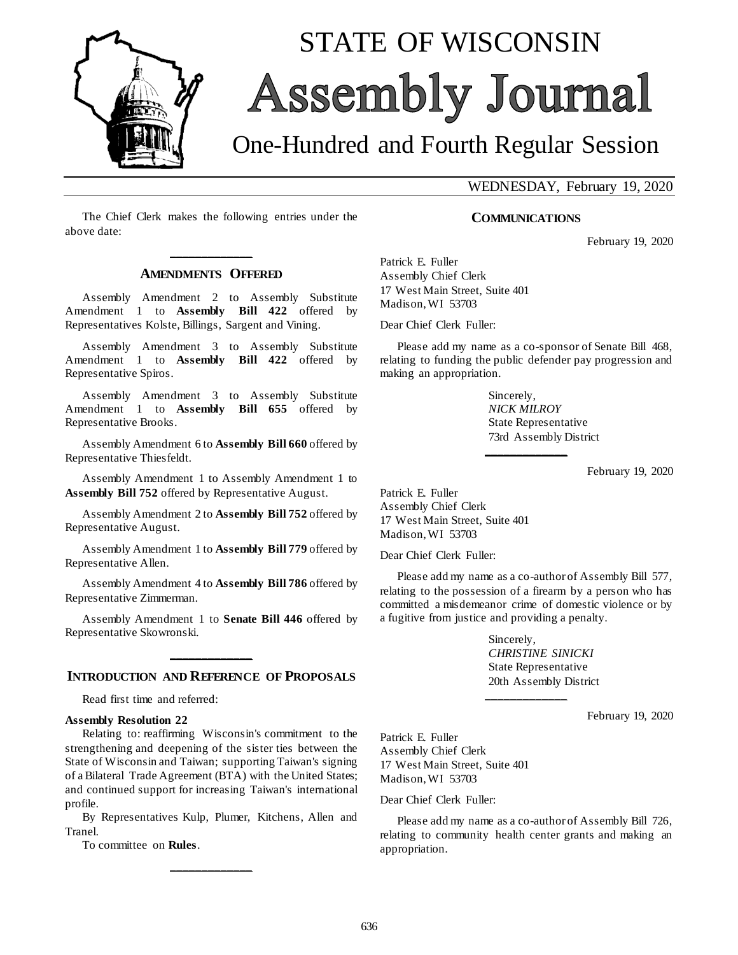

# STATE OF WISCONSIN Assembly Journal

# One-Hundred and Fourth Regular Session

WEDNESDAY, February 19, 2020

The Chief Clerk makes the following entries under the above date:

### **\_\_\_\_\_\_\_\_\_\_\_\_\_ AMENDMENTS OFFERED**

Assembly Amendment 2 to Assembly Substitute Amendment 1 to **Assembly Bill 422** offered by Representatives Kolste, Billings, Sargent and Vining.

Assembly Amendment 3 to Assembly Substitute Amendment 1 to **Assembly Bill 422** offered by Representative Spiros.

Assembly Amendment 3 to Assembly Substitute Amendment 1 to **Assembly Bill 655** offered by Representative Brooks.

Assembly Amendment 6 to **Assembly Bill 660** offered by Representative Thiesfeldt.

Assembly Amendment 1 to Assembly Amendment 1 to **Assembly Bill 752** offered by Representative August.

Assembly Amendment 2 to **Assembly Bill 752** offered by Representative August.

Assembly Amendment 1 to **Assembly Bill 779** offered by Representative Allen.

Assembly Amendment 4 to **Assembly Bill 786** offered by Representative Zimmerman.

Assembly Amendment 1 to **Senate Bill 446** offered by Representative Skowronski.

## **\_\_\_\_\_\_\_\_\_\_\_\_\_ INTRODUCTION AND REFERENCE OF PROPOSALS**

Read first time and referred:

#### **Assembly Resolution 22**

Relating to: reaffirming Wisconsin's commitment to the strengthening and deepening of the sister ties between the State of Wisconsin and Taiwan; supporting Taiwan's signing of a Bilateral Trade Agreement (BTA) with the United States; and continued support for increasing Taiwan's international profile.

By Representatives Kulp, Plumer, Kitchens, Allen and Tranel.

**\_\_\_\_\_\_\_\_\_\_\_\_\_**

To committee on **Rules**.

#### **COMMUNICATIONS**

February 19, 2020

Patrick E. Fuller Assembly Chief Clerk 17 West Main Street, Suite 401 Madison, WI 53703

Dear Chief Clerk Fuller:

Please add my name as a co-sponsor of Senate Bill 468, relating to funding the public defender pay progression and making an appropriation.

**\_\_\_\_\_\_\_\_\_\_\_\_\_**

Sincerely, *NICK MILROY* State Representative 73rd Assembly District

February 19, 2020

Patrick E. Fuller Assembly Chief Clerk 17 West Main Street, Suite 401 Madison, WI 53703

Dear Chief Clerk Fuller:

Please add my name as a co-author of Assembly Bill 577, relating to the possession of a firearm by a person who has committed a misdemeanor crime of domestic violence or by a fugitive from justice and providing a penalty.

**\_\_\_\_\_\_\_\_\_\_\_\_\_**

Sincerely, *CHRISTINE SINICKI* State Representative 20th Assembly District

February 19, 2020

Patrick E. Fuller Assembly Chief Clerk 17 West Main Street, Suite 401 Madison, WI 53703

Dear Chief Clerk Fuller:

Please add my name as a co-author of Assembly Bill 726, relating to community health center grants and making an appropriation.